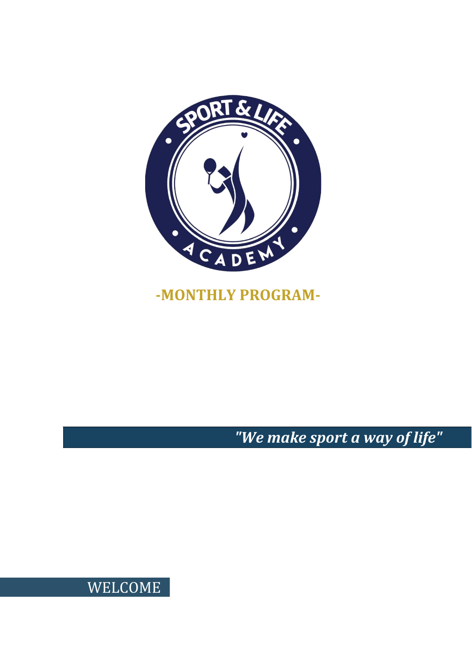

# **-MONTHLY PROGRAM-**

*"We make sport a way of life"*

WELCOME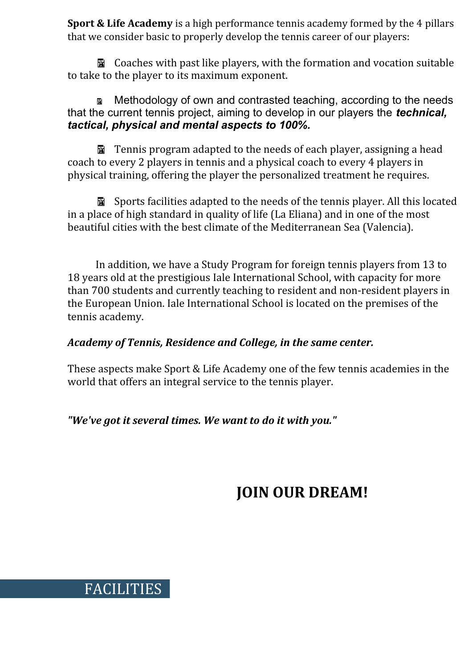**Sport & Life Academy** is a high performance tennis academy formed by the 4 pillars that we consider basic to properly develop the tennis career of our players:

**图 Coaches with past like players, with the formation and vocation suitable** to take to the player to its maximum exponent.

 Methodology of own and contrasted teaching, according to the needs that the current tennis project, aiming to develop in our players the *technical, tactical, physical and mental aspects to 100%.*

**E** Tennis program adapted to the needs of each player, assigning a head coach to every 2 players in tennis and a physical coach to every 4 players in physical training, offering the player the personalized treatment he requires.

Sports facilities adapted to the needs of the tennis player. All this located in a place of high standard in quality of life (La Eliana) and in one of the most beautiful cities with the best climate of the Mediterranean Sea (Valencia).

In addition, we have a Study Program for foreign tennis players from 13 to 18 years old at the prestigious Iale International School, with capacity for more than 700 students and currently teaching to resident and non-resident players in the European Union. Iale International School is located on the premises of the tennis academy.

#### *Academy of Tennis, Residence and College, in the same center.*

These aspects make Sport & Life Academy one of the few tennis academies in the world that offers an integral service to the tennis player.

*"We've got it several times. We want to do it with you."*

FACILITIES

# **JOIN OUR DREAM!**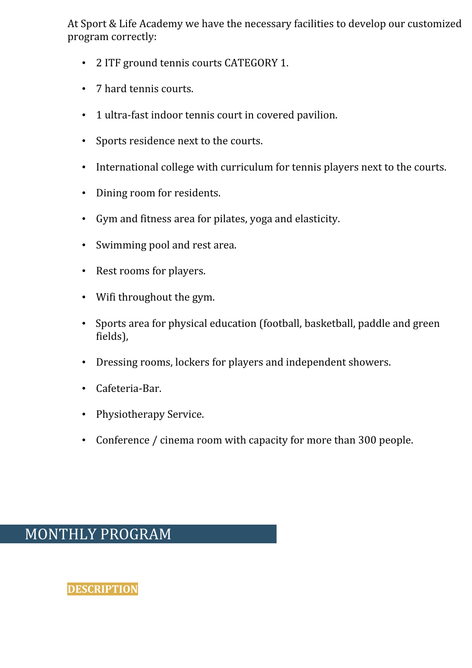At Sport & Life Academy we have the necessary facilities to develop our customized program correctly:

- 2 ITF ground tennis courts CATEGORY 1.
- 7 hard tennis courts.
- 1 ultra-fast indoor tennis court in covered pavilion.
- Sports residence next to the courts.
- International college with curriculum for tennis players next to the courts.
- Dining room for residents.
- Gym and fitness area for pilates, yoga and elasticity.
- Swimming pool and rest area.
- Rest rooms for players.
- Wifi throughout the gym.
- Sports area for physical education (football, basketball, paddle and green fields),
- Dressing rooms, lockers for players and independent showers.
- Cafeteria-Bar.
- Physiotherapy Service.
- Conference / cinema room with capacity for more than 300 people.

## MONTHLY PROGRAM

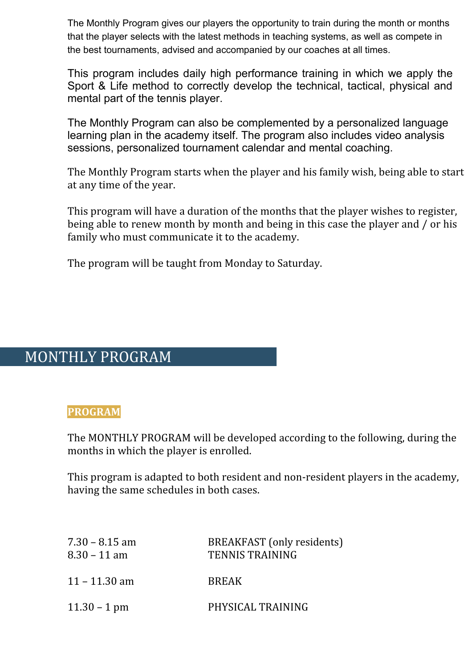The Monthly Program gives our players the opportunity to train during the month or months that the player selects with the latest methods in teaching systems, as well as compete in the best tournaments, advised and accompanied by our coaches at all times.

This program includes daily high performance training in which we apply the Sport & Life method to correctly develop the technical, tactical, physical and mental part of the tennis player.

The Monthly Program can also be complemented by a personalized language learning plan in the academy itself. The program also includes video analysis sessions, personalized tournament calendar and mental coaching.

The Monthly Program starts when the player and his family wish, being able to start at any time of the year.

This program will have a duration of the months that the player wishes to register, being able to renew month by month and being in this case the player and / or his family who must communicate it to the academy.

The program will be taught from Monday to Saturday.

## MONTHLY PROGRAM

#### **PROGRAM**

The MONTHLY PROGRAM will be developed according to the following, during the months in which the player is enrolled.

This program is adapted to both resident and non-resident players in the academy, having the same schedules in both cases.

| $7.30 - 8.15$ am<br>$8.30 - 11$ am | BREAKFAST (only residents)<br><b>TENNIS TRAINING</b> |
|------------------------------------|------------------------------------------------------|
| $11 - 11.30$ am                    | <b>BREAK</b>                                         |
| $11.30 - 1$ pm                     | PHYSICAL TRAINING                                    |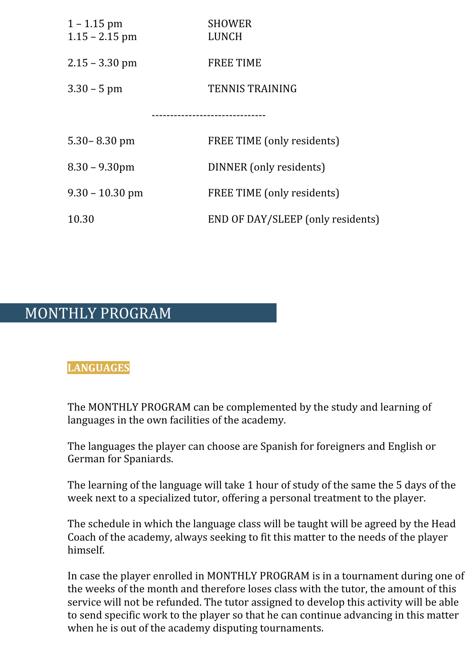| $1 - 1.15$ pm<br>$1.15 - 2.15$ pm | <b>SHOWER</b><br><b>LUNCH</b>     |  |
|-----------------------------------|-----------------------------------|--|
| $2.15 - 3.30$ pm                  | <b>FREE TIME</b>                  |  |
| $3.30 - 5$ pm                     | <b>TENNIS TRAINING</b>            |  |
|                                   |                                   |  |
| $5.30 - 8.30$ pm                  | FREE TIME (only residents)        |  |
| $8.30 - 9.30$ pm                  | DINNER (only residents)           |  |
| $9.30 - 10.30$ pm                 | FREE TIME (only residents)        |  |
| 10.30                             | END OF DAY/SLEEP (only residents) |  |

## MONTHLY PROGRAM

#### **LANGUAGES**

The MONTHLY PROGRAM can be complemented by the study and learning of languages in the own facilities of the academy.

The languages the player can choose are Spanish for foreigners and English or German for Spaniards.

The learning of the language will take 1 hour of study of the same the 5 days of the week next to a specialized tutor, offering a personal treatment to the player.

The schedule in which the language class will be taught will be agreed by the Head Coach of the academy, always seeking to fit this matter to the needs of the player himself.

In case the player enrolled in MONTHLY PROGRAM is in a tournament during one of the weeks of the month and therefore loses class with the tutor, the amount of this service will not be refunded. The tutor assigned to develop this activity will be able to send specific work to the player so that he can continue advancing in this matter when he is out of the academy disputing tournaments.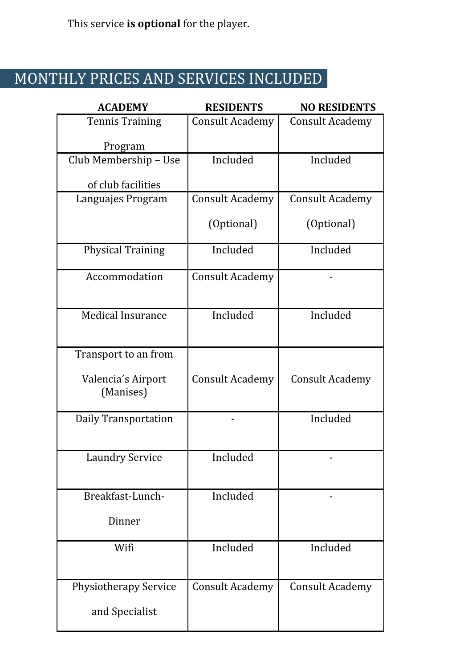This service **is optional** for the player.

# MONTHLY PRICES AND SERVICES INCLUDED

| <b>ACADEMY</b>                  | <b>RESIDENTS</b>       | <b>NO RESIDENTS</b>    |
|---------------------------------|------------------------|------------------------|
| <b>Tennis Training</b>          | <b>Consult Academy</b> | <b>Consult Academy</b> |
| Program                         |                        |                        |
| Club Membership - Use           | Included               | Included               |
| of club facilities              |                        |                        |
| Languajes Program               | <b>Consult Academy</b> | <b>Consult Academy</b> |
|                                 | (Optional)             | (Optional)             |
| <b>Physical Training</b>        | Included               | Included               |
| Accommodation                   | <b>Consult Academy</b> |                        |
| <b>Medical Insurance</b>        | Included               | Included               |
| Transport to an from            |                        |                        |
| Valencia's Airport<br>(Manises) | <b>Consult Academy</b> | <b>Consult Academy</b> |
| Daily Transportation            |                        | Included               |
| <b>Laundry Service</b>          | Included               |                        |
| Breakfast-Lunch-                | Included               |                        |
| Dinner                          |                        |                        |
| Wifi                            | Included               | Included               |
| <b>Physiotherapy Service</b>    | <b>Consult Academy</b> | <b>Consult Academy</b> |
| and Specialist                  |                        |                        |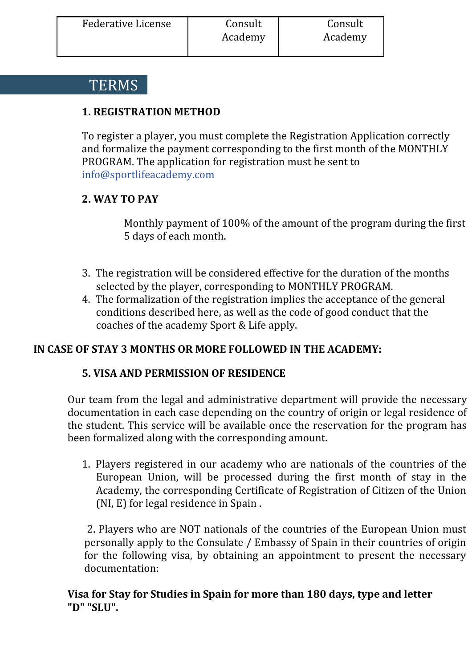## **TERMS**

## **1. REGISTRATION METHOD**

To register a player, you must complete the Registration Application correctly and formalize the payment corresponding to the first month of the MONTHLY PROGRAM. The application for registration must be sent to info@sportlifeacademy.com

#### **2. WAY TO PAY**

Monthly payment of 100% of the amount of the program during the first 5 days of each month.

- 3. The registration will be considered effective for the duration of the months selected by the player, corresponding to MONTHLY PROGRAM.
- 4. The formalization of the registration implies the acceptance of the general conditions described here, as well as the code of good conduct that the coaches of the academy Sport & Life apply.

## **IN CASE OF STAY 3 MONTHS OR MORE FOLLOWED IN THE ACADEMY:**

#### **5. VISA AND PERMISSION OF RESIDENCE**

Our team from the legal and administrative department will provide the necessary documentation in each case depending on the country of origin or legal residence of the student. This service will be available once the reservation for the program has been formalized along with the corresponding amount.

1. Players registered in our academy who are nationals of the countries of the European Union, will be processed during the first month of stay in the Academy, the corresponding Certificate of Registration of Citizen of the Union (NI, E) for legal residence in Spain .

2. Players who are NOT nationals of the countries of the European Union must personally apply to the Consulate / Embassy of Spain in their countries of origin for the following visa, by obtaining an appointment to present the necessary documentation:

#### **Visa for Stay for Studies in Spain for more than 180 days, type and letter "D" "SLU".**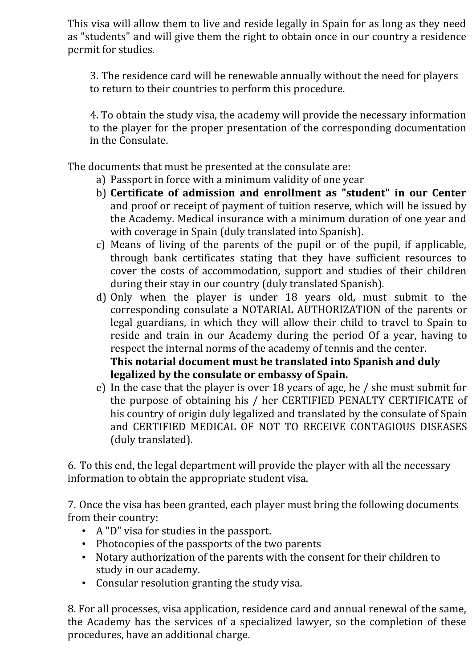This visa will allow them to live and reside legally in Spain for as long as they need as "students" and will give them the right to obtain once in our country a residence permit for studies.

3. The residence card will be renewable annually without the need for players to return to their countries to perform this procedure.

4. To obtain the study visa, the academy will provide the necessary information to the player for the proper presentation of the corresponding documentation in the Consulate.

The documents that must be presented at the consulate are:

- a) Passport in force with a minimum validity of one year
- b) **Certificate of admission and enrollment as "student" in our Center** and proof or receipt of payment of tuition reserve, which will be issued by the Academy. Medical insurance with a minimum duration of one year and with coverage in Spain (duly translated into Spanish).
- c) Means of living of the parents of the pupil or of the pupil, if applicable, through bank certificates stating that they have sufficient resources to cover the costs of accommodation, support and studies of their children during their stay in our country (duly translated Spanish).
- d) Only when the player is under 18 years old, must submit to the corresponding consulate a NOTARIAL AUTHORIZATION of the parents or legal guardians, in which they will allow their child to travel to Spain to reside and train in our Academy during the period Of a year, having to respect the internal norms of the academy of tennis and the center. **This notarial document must be translated into Spanish and duly**

**legalized by the consulate or embassy of Spain.**

e) In the case that the player is over 18 years of age, he / she must submit for the purpose of obtaining his / her CERTIFIED PENALTY CERTIFICATE of his country of origin duly legalized and translated by the consulate of Spain and CERTIFIED MEDICAL OF NOT TO RECEIVE CONTAGIOUS DISEASES (duly translated).

6. To this end, the legal department will provide the player with all the necessary information to obtain the appropriate student visa.

7. Once the visa has been granted, each player must bring the following documents from their country:

- A "D" visa for studies in the passport.
- Photocopies of the passports of the two parents
- Notary authorization of the parents with the consent for their children to study in our academy.
- Consular resolution granting the study visa.

8. For all processes, visa application, residence card and annual renewal of the same, the Academy has the services of a specialized lawyer, so the completion of these procedures, have an additional charge.